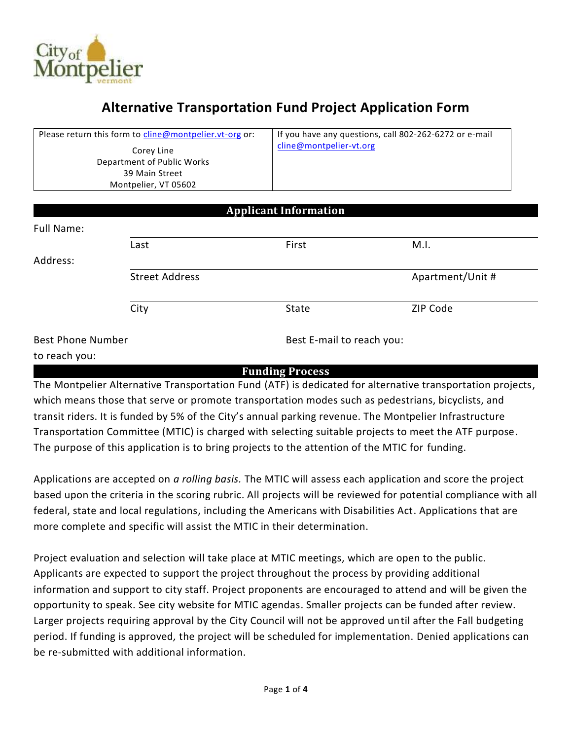

# **Alternative Transportation Fund Project Application Form**

| Please return this form to cline@montpelier.vt-org or: |                                                                                    |                              | If you have any questions, call 802-262-6272 or e-mail |  |  |  |
|--------------------------------------------------------|------------------------------------------------------------------------------------|------------------------------|--------------------------------------------------------|--|--|--|
|                                                        | Corey Line<br>Department of Public Works<br>39 Main Street<br>Montpelier, VT 05602 | cline@montpelier-vt.org      |                                                        |  |  |  |
|                                                        |                                                                                    |                              |                                                        |  |  |  |
|                                                        |                                                                                    | <b>Applicant Information</b> |                                                        |  |  |  |
| Full Name:                                             |                                                                                    |                              |                                                        |  |  |  |
|                                                        | Last                                                                               | First                        | M.I.                                                   |  |  |  |
| Address:                                               |                                                                                    |                              |                                                        |  |  |  |
|                                                        | <b>Street Address</b>                                                              |                              | Apartment/Unit #                                       |  |  |  |

Best Phone Number

Best E-mail to reach you:

#### to reach you:

#### **Funding Process**

City **State** State **ZIP** Code

The Montpelier Alternative Transportation Fund (ATF) is dedicated for alternative transportation projects, which means those that serve or promote transportation modes such as pedestrians, bicyclists, and transit riders. It is funded by 5% of the City's annual parking revenue. The Montpelier Infrastructure Transportation Committee (MTIC) is charged with selecting suitable projects to meet the ATF purpose. The purpose of this application is to bring projects to the attention of the MTIC for funding.

Applications are accepted on *a rolling basis.* The MTIC will assess each application and score the project based upon the criteria in the scoring rubric. All projects will be reviewed for potential compliance with all federal, state and local regulations, including the Americans with Disabilities Act. Applications that are more complete and specific will assist the MTIC in their determination.

Project evaluation and selection will take place at MTIC meetings, which are open to the public. Applicants are expected to support the project throughout the process by providing additional information and support to city staff. Project proponents are encouraged to attend and will be given the opportunity to speak. See city website for MTIC agendas. Smaller projects can be funded after review. Larger projects requiring approval by the City Council will not be approved until after the Fall budgeting period. If funding is approved*,* the project will be scheduled for implementation. Denied applications can be re-submitted with additional information.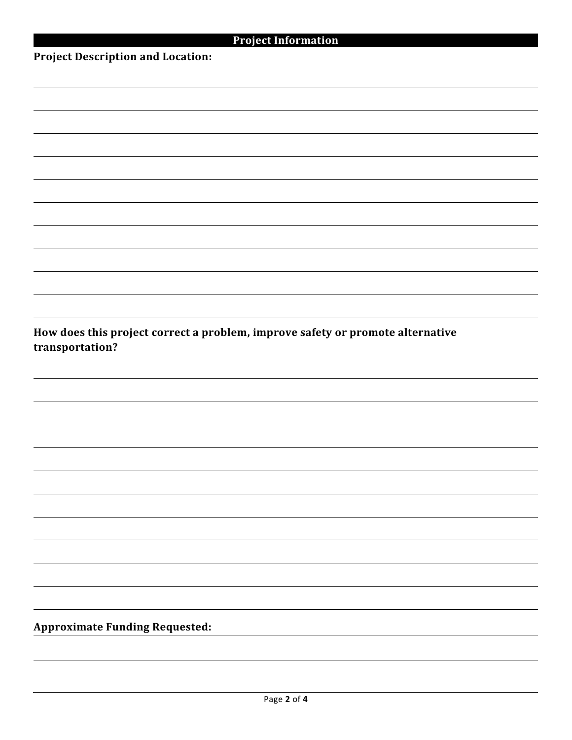|  | <b>Project Information</b> |  |
|--|----------------------------|--|
|  |                            |  |

**Project Description and Location:**

**How does this project correct a problem, improve safety or promote alternative transportation?**

**Approximate Funding Requested:**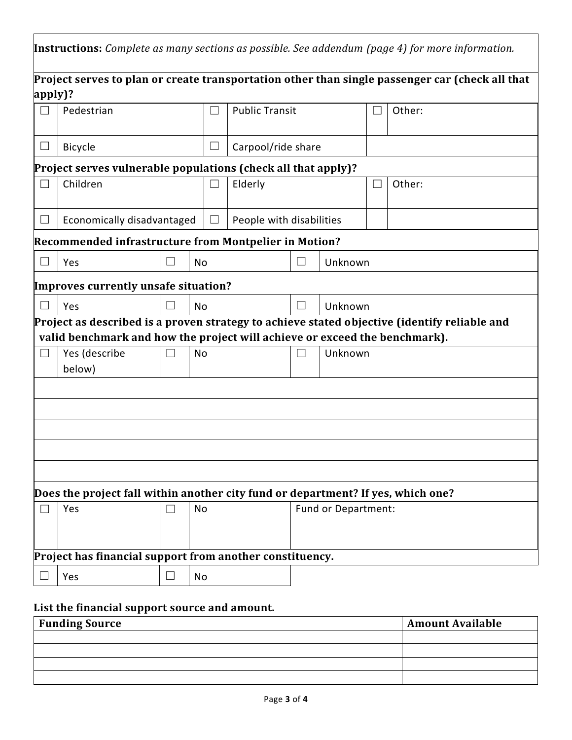|                                                          | <b>Instructions:</b> Complete as many sections as possible. See addendum (page 4) for more information.                                                                    |        |           |              |                          |         |                     |        |  |  |  |
|----------------------------------------------------------|----------------------------------------------------------------------------------------------------------------------------------------------------------------------------|--------|-----------|--------------|--------------------------|---------|---------------------|--------|--|--|--|
|                                                          | Project serves to plan or create transportation other than single passenger car (check all that                                                                            |        |           |              |                          |         |                     |        |  |  |  |
| apply)?                                                  |                                                                                                                                                                            |        |           |              |                          |         |                     |        |  |  |  |
|                                                          | Pedestrian                                                                                                                                                                 |        |           |              | <b>Public Transit</b>    |         |                     | Other: |  |  |  |
| $\overline{\phantom{a}}$                                 | <b>Bicycle</b>                                                                                                                                                             |        |           | $\mathbf{L}$ | Carpool/ride share       |         |                     |        |  |  |  |
|                                                          | Project serves vulnerable populations (check all that apply)?                                                                                                              |        |           |              |                          |         |                     |        |  |  |  |
|                                                          | Children                                                                                                                                                                   |        |           |              | Elderly                  |         |                     | Other: |  |  |  |
| $\Box$                                                   | Economically disadvantaged                                                                                                                                                 |        |           | ⊔            | People with disabilities |         |                     |        |  |  |  |
|                                                          | Recommended infrastructure from Montpelier in Motion?                                                                                                                      |        |           |              |                          |         |                     |        |  |  |  |
|                                                          | Yes                                                                                                                                                                        | П      | <b>No</b> |              | $\vert \ \ \vert$        |         | Unknown             |        |  |  |  |
|                                                          | Improves currently unsafe situation?                                                                                                                                       |        |           |              |                          |         |                     |        |  |  |  |
|                                                          | $\vert \ \ \vert$<br>Yes                                                                                                                                                   |        | No        | $\Box$       |                          | Unknown |                     |        |  |  |  |
|                                                          | Project as described is a proven strategy to achieve stated objective (identify reliable and<br>valid benchmark and how the project will achieve or exceed the benchmark). |        |           |              |                          |         |                     |        |  |  |  |
| $\Box$                                                   | Yes (describe<br>below)                                                                                                                                                    | П      | <b>No</b> |              |                          |         | Unknown             |        |  |  |  |
|                                                          |                                                                                                                                                                            |        |           |              |                          |         |                     |        |  |  |  |
|                                                          |                                                                                                                                                                            |        |           |              |                          |         |                     |        |  |  |  |
|                                                          |                                                                                                                                                                            |        |           |              |                          |         |                     |        |  |  |  |
|                                                          |                                                                                                                                                                            |        |           |              |                          |         |                     |        |  |  |  |
|                                                          |                                                                                                                                                                            |        |           |              |                          |         |                     |        |  |  |  |
|                                                          | Does the project fall within another city fund or department? If yes, which one?                                                                                           |        |           |              |                          |         |                     |        |  |  |  |
|                                                          | Yes                                                                                                                                                                        | $\Box$ | No        |              |                          |         | Fund or Department: |        |  |  |  |
| Project has financial support from another constituency. |                                                                                                                                                                            |        |           |              |                          |         |                     |        |  |  |  |
|                                                          | Yes                                                                                                                                                                        | ⊔      | No        |              |                          |         |                     |        |  |  |  |

# **List the financial support source and amount.**

| <b>Funding Source</b> | <b>Amount Available</b> |
|-----------------------|-------------------------|
|                       |                         |
|                       |                         |
|                       |                         |
|                       |                         |